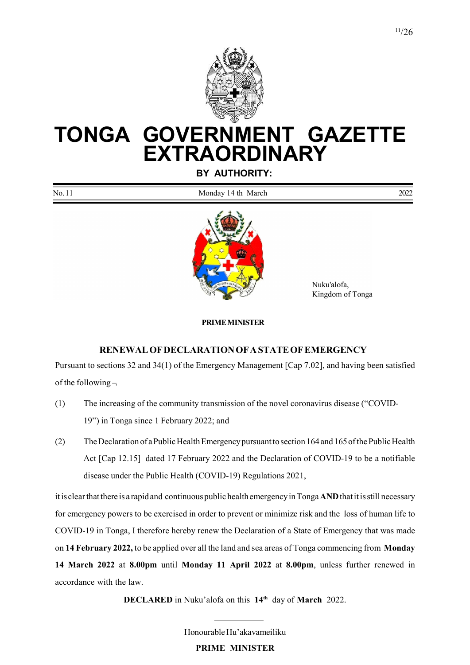

# TONGA GOVERNMENT GAZETTE **EXTRAORDINARY**

BY AUTHORITY:

| No.11 | Mond<br>$- - -$<br>N/A<br>$+b$<br>ul ivialen | 2022 |
|-------|----------------------------------------------|------|
|       |                                              |      |



 Nuku'alofa, Kingdom of Tonga

#### PRIME MINISTER

#### RENEWAL OF DECLARATION OF A STATE OF EMERGENCY

Pursuant to sections 32 and 34(1) of the Emergency Management [Cap 7.02], and having been satisfied of the following –

- (1) The increasing of the community transmission of the novel coronavirus disease ("COVID-19") in Tonga since 1 February 2022; and
- (2) The Declaration of a Public Health Emergency pursuant to section 164 and 165 of the Public Health Act [Cap 12.15] dated 17 February 2022 and the Declaration of COVID-19 to be a notifiable disease under the Public Health (COVID-19) Regulations 2021,

it is clear that there is a rapid and continuous public health emergency in Tonga AND that it is still necessary for emergency powers to be exercised in order to prevent or minimize risk and the loss of human life to COVID-19 in Tonga, I therefore hereby renew the Declaration of a State of Emergency that was made on 14 February 2022, to be applied over all the land and sea areas of Tonga commencing from Monday 14 March 2022 at 8.00pm until Monday 11 April 2022 at 8.00pm, unless further renewed in accordance with the law.

DECLARED in Nuku'alofa on this 14<sup>th</sup> day of March 2022.

Honourable Hu'akavameiliku

PRIME MINISTER